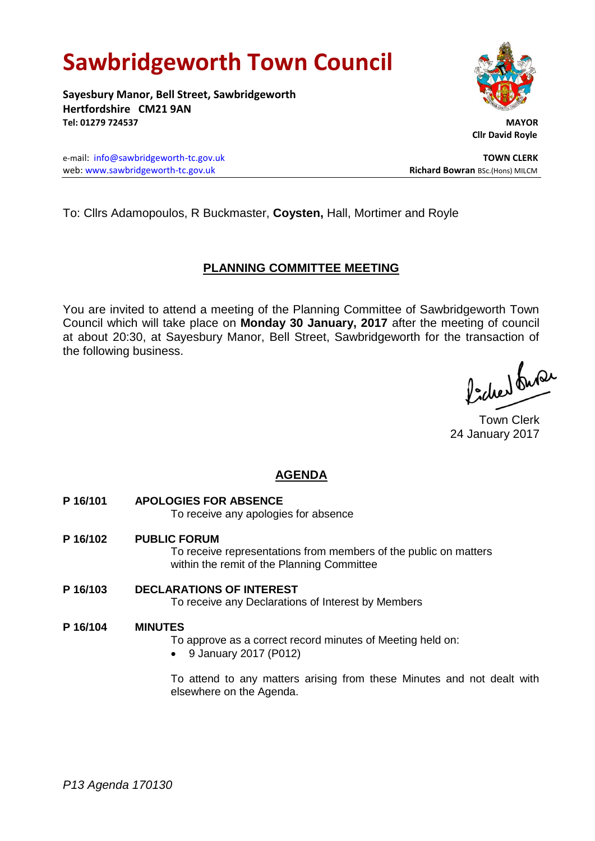# **Sawbridgeworth Town Council**

**Sayesbury Manor, Bell Street, Sawbridgeworth Hertfordshire CM21 9AN Tel: 01279 724537 MAYOR**

e-mail: [info@sawbridgeworth-tc.gov.uk](mailto:info@sawbridgeworth-tc.gov.uk) **TOWN CLERK** web: www.sawbridgeworth-tc.gov.uk **Richard Bowran** BSc.(Hons) MILCM



 **Cllr David Royle**

To: Cllrs Adamopoulos, R Buckmaster, **Coysten,** Hall, Mortimer and Royle

## **PLANNING COMMITTEE MEETING**

You are invited to attend a meeting of the Planning Committee of Sawbridgeworth Town Council which will take place on **Monday 30 January, 2017** after the meeting of council at about 20:30, at Sayesbury Manor, Bell Street, Sawbridgeworth for the transaction of the following business.

ladres buse

Town Clerk 24 January 2017

# **AGENDA**

- **P 16/101 APOLOGIES FOR ABSENCE** To receive any apologies for absence
- **P 16/102 PUBLIC FORUM** To receive representations from members of the public on matters within the remit of the Planning Committee
- **P 16/103 DECLARATIONS OF INTEREST** To receive any Declarations of Interest by Members

#### **P 16/104 MINUTES**

To approve as a correct record minutes of Meeting held on:

9 January 2017 (P012)

To attend to any matters arising from these Minutes and not dealt with elsewhere on the Agenda.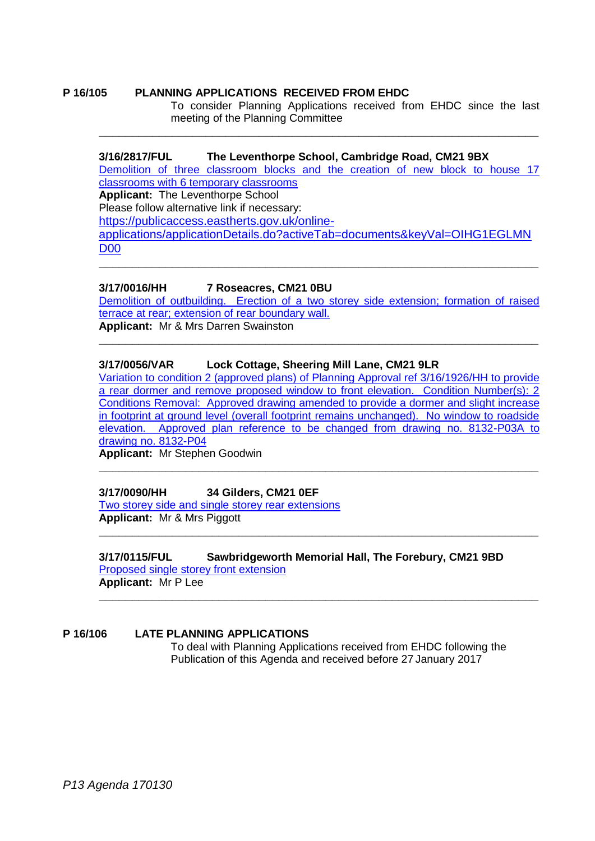#### **P 16/105 PLANNING APPLICATIONS RECEIVED FROM EHDC**

To consider Planning Applications received from EHDC since the last meeting of the Planning Committee

#### **3/16/2817/FUL The Leventhorpe School, Cambridge Road, CM21 9BX**

[Demolition of three classroom blocks and the creation of new block to house 17](https://publicaccess.eastherts.gov.uk/online-applications/simpleSearchResults.do?action=firstPage)  [classrooms with 6 temporary classrooms](https://publicaccess.eastherts.gov.uk/online-applications/simpleSearchResults.do?action=firstPage) **Applicant:** The Leventhorpe School

**\_\_\_\_\_\_\_\_\_\_\_\_\_\_\_\_\_\_\_\_\_\_\_\_\_\_\_\_\_\_\_\_\_\_\_\_\_\_\_\_\_\_\_\_\_\_\_\_\_\_\_\_\_\_\_\_\_\_\_\_\_\_\_\_\_\_**

Please follow alternative link if necessary:

[https://publicaccess.eastherts.gov.uk/online-](https://publicaccess.eastherts.gov.uk/online-applications/applicationDetails.do?activeTab=documents&keyVal=OIHG1EGLMND00)

[applications/applicationDetails.do?activeTab=documents&keyVal=OIHG1EGLMN](https://publicaccess.eastherts.gov.uk/online-applications/applicationDetails.do?activeTab=documents&keyVal=OIHG1EGLMND00) [D00](https://publicaccess.eastherts.gov.uk/online-applications/applicationDetails.do?activeTab=documents&keyVal=OIHG1EGLMND00)

**\_\_\_\_\_\_\_\_\_\_\_\_\_\_\_\_\_\_\_\_\_\_\_\_\_\_\_\_\_\_\_\_\_\_\_\_\_\_\_\_\_\_\_\_\_\_\_\_\_\_\_\_\_\_\_\_\_\_\_\_\_\_\_\_\_\_**

#### **3/17/0016/HH 7 Roseacres, CM21 0BU**

[Demolition of outbuilding. Erection of a two storey side extension; formation of raised](https://publicaccess.eastherts.gov.uk/online-applications/applicationDetails.do?activeTab=summary&keyVal=OJCXEEGLMS600)  [terrace at rear; extension of rear boundary wall.](https://publicaccess.eastherts.gov.uk/online-applications/applicationDetails.do?activeTab=summary&keyVal=OJCXEEGLMS600) **Applicant:** Mr & Mrs Darren Swainston

**\_\_\_\_\_\_\_\_\_\_\_\_\_\_\_\_\_\_\_\_\_\_\_\_\_\_\_\_\_\_\_\_\_\_\_\_\_\_\_\_\_\_\_\_\_\_\_\_\_\_\_\_\_\_\_\_\_\_\_\_\_\_\_\_\_\_**

#### **3/17/0056/VAR Lock Cottage, Sheering Mill Lane, CM21 9LR**

[Variation to condition 2 \(approved plans\) of Planning Approval ref 3/16/1926/HH to provide](https://publicaccess.eastherts.gov.uk/online-applications/applicationDetails.do?activeTab=summary&keyVal=OJMHVGGLMUJ00)  [a rear dormer and remove proposed window to front elevation. Condition Number\(s\): 2](https://publicaccess.eastherts.gov.uk/online-applications/applicationDetails.do?activeTab=summary&keyVal=OJMHVGGLMUJ00)  [Conditions Removal: Approved drawing amended to provide a dormer and slight increase](https://publicaccess.eastherts.gov.uk/online-applications/applicationDetails.do?activeTab=summary&keyVal=OJMHVGGLMUJ00)  [in footprint at ground level \(overall footprint remains unchanged\). No window to roadside](https://publicaccess.eastherts.gov.uk/online-applications/applicationDetails.do?activeTab=summary&keyVal=OJMHVGGLMUJ00)  [elevation. Approved plan reference to be changed from drawing no. 8132-P03A to](https://publicaccess.eastherts.gov.uk/online-applications/applicationDetails.do?activeTab=summary&keyVal=OJMHVGGLMUJ00)  [drawing no. 8132-P04](https://publicaccess.eastherts.gov.uk/online-applications/applicationDetails.do?activeTab=summary&keyVal=OJMHVGGLMUJ00)

**\_\_\_\_\_\_\_\_\_\_\_\_\_\_\_\_\_\_\_\_\_\_\_\_\_\_\_\_\_\_\_\_\_\_\_\_\_\_\_\_\_\_\_\_\_\_\_\_\_\_\_\_\_\_\_\_\_\_\_\_\_\_\_\_\_\_**

**\_\_\_\_\_\_\_\_\_\_\_\_\_\_\_\_\_\_\_\_\_\_\_\_\_\_\_\_\_\_\_\_\_\_\_\_\_\_\_\_\_\_\_\_\_\_\_\_\_\_\_\_\_\_\_\_\_\_\_\_\_\_\_\_\_\_**

**Applicant:** Mr Stephen Goodwin

**3/17/0090/HH 34 Gilders, CM21 0EF** Two storey side [and single storey rear extensions](https://publicaccess.eastherts.gov.uk/online-applications/applicationDetails.do?activeTab=summary&keyVal=OJVR8NGLMWP00) **Applicant:** Mr & Mrs Piggott

**3/17/0115/FUL Sawbridgeworth Memorial Hall, The Forebury, CM21 9BD** [Proposed single storey front extension](https://publicaccess.eastherts.gov.uk/online-applications/applicationDetails.do?activeTab=summary&keyVal=OJYZK5GL00X00) **Applicant:** Mr P Lee **\_\_\_\_\_\_\_\_\_\_\_\_\_\_\_\_\_\_\_\_\_\_\_\_\_\_\_\_\_\_\_\_\_\_\_\_\_\_\_\_\_\_\_\_\_\_\_\_\_\_\_\_\_\_\_\_\_\_\_\_\_\_\_\_\_\_**

#### **P 16/106 LATE PLANNING APPLICATIONS**

To deal with Planning Applications received from EHDC following the Publication of this Agenda and received before 27 January 2017